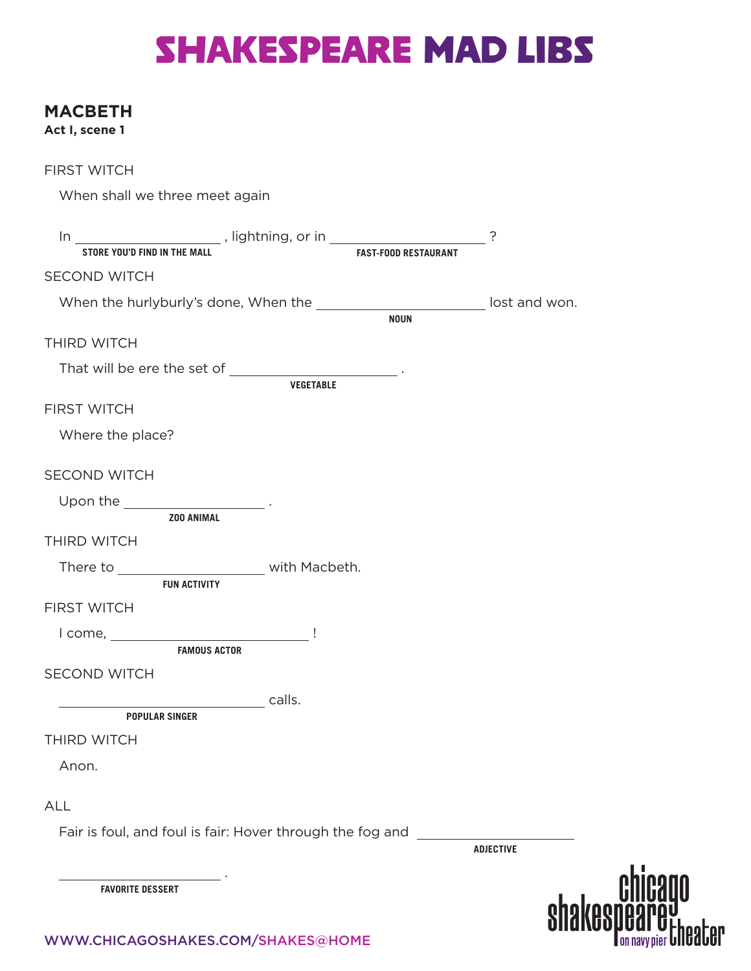## SHAKESPEARE MAD LIBS

#### **MACBETH**

**Act I, scene 1**

| <b>FIRST WITCH</b>                               |                                                                                                                                                                                                                                                                                                     |                  |
|--------------------------------------------------|-----------------------------------------------------------------------------------------------------------------------------------------------------------------------------------------------------------------------------------------------------------------------------------------------------|------------------|
| When shall we three meet again                   |                                                                                                                                                                                                                                                                                                     |                  |
|                                                  | $\frac{1}{10}$ $\frac{1}{100}$ , lightning, or in $\frac{1}{100}$ and $\frac{1}{100}$ $\frac{1}{100}$ $\frac{1}{100}$ $\frac{1}{100}$ $\frac{1}{100}$ $\frac{1}{100}$ $\frac{1}{100}$ $\frac{1}{100}$ $\frac{1}{100}$ $\frac{1}{100}$ $\frac{1}{100}$ $\frac{1}{100}$ $\frac{1}{100}$ $\frac{1}{10$ |                  |
| <b>SECOND WITCH</b>                              |                                                                                                                                                                                                                                                                                                     |                  |
|                                                  | When the hurlyburly's done, When the __________________________ lost and won.<br><b>NOUN</b>                                                                                                                                                                                                        |                  |
| <b>THIRD WITCH</b>                               |                                                                                                                                                                                                                                                                                                     |                  |
|                                                  | <b>VEGETABLE</b>                                                                                                                                                                                                                                                                                    |                  |
| <b>FIRST WITCH</b>                               |                                                                                                                                                                                                                                                                                                     |                  |
| Where the place?                                 |                                                                                                                                                                                                                                                                                                     |                  |
| <b>SECOND WITCH</b>                              |                                                                                                                                                                                                                                                                                                     |                  |
| Upon the $\_\_$                                  |                                                                                                                                                                                                                                                                                                     |                  |
| <b>ZOO ANIMAL</b><br>THIRD WITCH                 |                                                                                                                                                                                                                                                                                                     |                  |
| There to _________________________ with Macbeth. |                                                                                                                                                                                                                                                                                                     |                  |
| <b>FUN ACTIVITY</b>                              |                                                                                                                                                                                                                                                                                                     |                  |
| <b>FIRST WITCH</b>                               |                                                                                                                                                                                                                                                                                                     |                  |
|                                                  |                                                                                                                                                                                                                                                                                                     |                  |
| <b>FAMOUS ACTOR</b><br><b>SECOND WITCH</b>       |                                                                                                                                                                                                                                                                                                     |                  |
| <b>POPULAR SINGER</b>                            | calls.                                                                                                                                                                                                                                                                                              |                  |
| THIRD WITCH                                      |                                                                                                                                                                                                                                                                                                     |                  |
| Anon.                                            |                                                                                                                                                                                                                                                                                                     |                  |
| <b>ALL</b>                                       |                                                                                                                                                                                                                                                                                                     |                  |
|                                                  | Fair is foul, and foul is fair: Hover through the fog and ______________________                                                                                                                                                                                                                    | <b>ADJECTIVE</b> |
| <b>FAVORITE DESSERT</b>                          |                                                                                                                                                                                                                                                                                                     |                  |